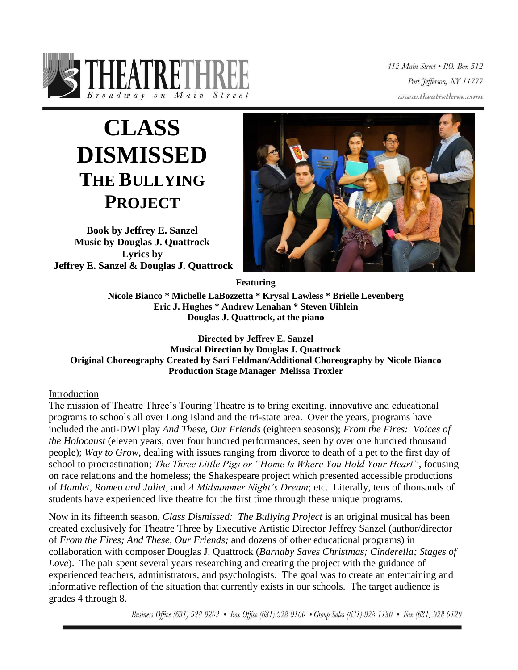

412 Main Street . P.O. Box 512 Port Jefferson, NY 11777 www.theatrethree.com

# **CLASS DISMISSED THE BULLYING PROJECT**

**Book by Jeffrey E. Sanzel Music by Douglas J. Quattrock Lyrics by Jeffrey E. Sanzel & Douglas J. Quattrock**



**Featuring**

**Nicole Bianco \* Michelle LaBozzetta \* Krysal Lawless \* Brielle Levenberg Eric J. Hughes \* Andrew Lenahan \* Steven Uihlein Douglas J. Quattrock, at the piano**

**Directed by Jeffrey E. Sanzel Musical Direction by Douglas J. Quattrock Original Choreography Created by Sari Feldman/Additional Choreography by Nicole Bianco Production Stage Manager Melissa Troxler**

# Introduction

The mission of Theatre Three's Touring Theatre is to bring exciting, innovative and educational programs to schools all over Long Island and the tri-state area. Over the years, programs have included the anti-DWI play *And These, Our Friends* (eighteen seasons); *From the Fires: Voices of the Holocaust* (eleven years, over four hundred performances, seen by over one hundred thousand people); *Way to Grow*, dealing with issues ranging from divorce to death of a pet to the first day of school to procrastination; *The Three Little Pigs or "Home Is Where You Hold Your Heart"*, focusing on race relations and the homeless; the Shakespeare project which presented accessible productions of *Hamlet, Romeo and Juliet,* and *A Midsummer Night's Dream*; etc. Literally, tens of thousands of students have experienced live theatre for the first time through these unique programs.

Now in its fifteenth season, *Class Dismissed: The Bullying Project* is an original musical has been created exclusively for Theatre Three by Executive Artistic Director Jeffrey Sanzel (author/director of *From the Fires; And These, Our Friends;* and dozens of other educational programs) in collaboration with composer Douglas J. Quattrock (*Barnaby Saves Christmas; Cinderella; Stages of Love*). The pair spent several years researching and creating the project with the guidance of experienced teachers, administrators, and psychologists. The goal was to create an entertaining and informative reflection of the situation that currently exists in our schools. The target audience is grades 4 through 8.

Business Office (631) 928-9202 • Box Office (631) 928-9100 • Group Sales (631) 928-1130 • Fax (631) 928-9120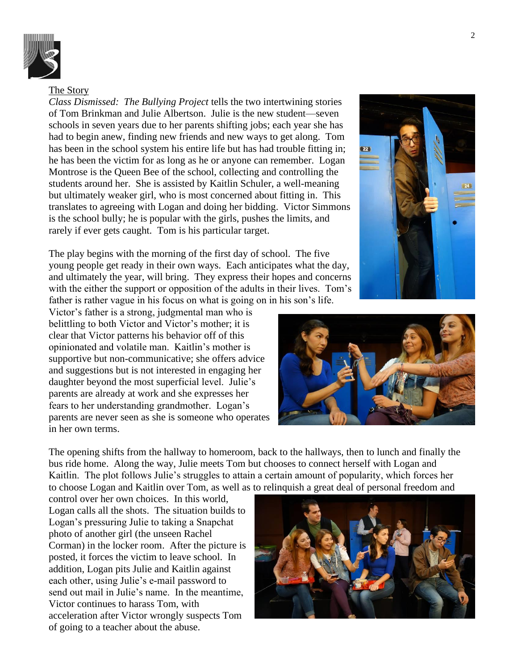

#### The Story

*Class Dismissed: The Bullying Project* tells the two intertwining stories of Tom Brinkman and Julie Albertson. Julie is the new student—seven schools in seven years due to her parents shifting jobs; each year she has had to begin anew, finding new friends and new ways to get along. Tom has been in the school system his entire life but has had trouble fitting in; he has been the victim for as long as he or anyone can remember. Logan Montrose is the Queen Bee of the school, collecting and controlling the students around her. She is assisted by Kaitlin Schuler, a well-meaning but ultimately weaker girl, who is most concerned about fitting in. This translates to agreeing with Logan and doing her bidding. Victor Simmons is the school bully; he is popular with the girls, pushes the limits, and rarely if ever gets caught. Tom is his particular target.

The play begins with the morning of the first day of school. The five young people get ready in their own ways. Each anticipates what the day, and ultimately the year, will bring. They express their hopes and concerns with the either the support or opposition of the adults in their lives. Tom's father is rather vague in his focus on what is going on in his son's life.

Victor's father is a strong, judgmental man who is belittling to both Victor and Victor's mother; it is clear that Victor patterns his behavior off of this opinionated and volatile man. Kaitlin's mother is supportive but non-communicative; she offers advice and suggestions but is not interested in engaging her daughter beyond the most superficial level. Julie's parents are already at work and she expresses her fears to her understanding grandmother. Logan's parents are never seen as she is someone who operates in her own terms.

The opening shifts from the hallway to homeroom, back to the hallways, then to lunch and finally the bus ride home. Along the way, Julie meets Tom but chooses to connect herself with Logan and Kaitlin. The plot follows Julie's struggles to attain a certain amount of popularity, which forces her to choose Logan and Kaitlin over Tom, as well as to relinquish a great deal of personal freedom and

control over her own choices. In this world, Logan calls all the shots. The situation builds to Logan's pressuring Julie to taking a Snapchat photo of another girl (the unseen Rachel Corman) in the locker room. After the picture is posted, it forces the victim to leave school. In addition, Logan pits Julie and Kaitlin against each other, using Julie's e-mail password to send out mail in Julie's name. In the meantime, Victor continues to harass Tom, with acceleration after Victor wrongly suspects Tom of going to a teacher about the abuse.





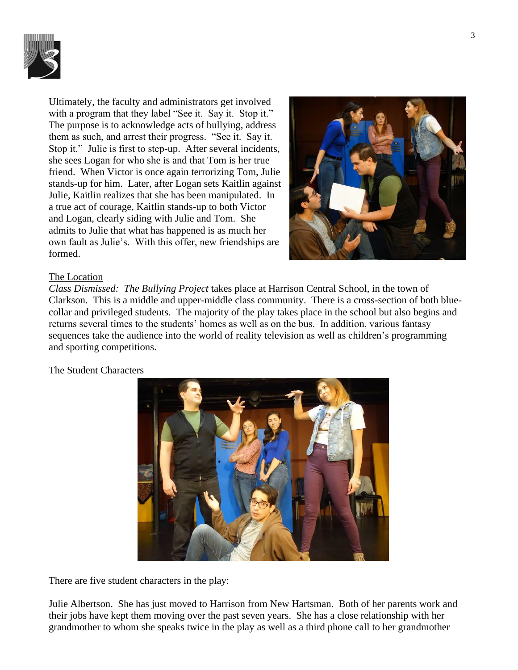

Ultimately, the faculty and administrators get involved with a program that they label "See it. Say it. Stop it." The purpose is to acknowledge acts of bullying, address them as such, and arrest their progress. "See it. Say it. Stop it." Julie is first to step-up. After several incidents, she sees Logan for who she is and that Tom is her true friend. When Victor is once again terrorizing Tom, Julie stands-up for him. Later, after Logan sets Kaitlin against Julie, Kaitlin realizes that she has been manipulated. In a true act of courage, Kaitlin stands-up to both Victor and Logan, clearly siding with Julie and Tom. She admits to Julie that what has happened is as much her own fault as Julie's. With this offer, new friendships are formed.



#### The Location

*Class Dismissed: The Bullying Project* takes place at Harrison Central School, in the town of Clarkson. This is a middle and upper-middle class community. There is a cross-section of both bluecollar and privileged students. The majority of the play takes place in the school but also begins and returns several times to the students' homes as well as on the bus. In addition, various fantasy sequences take the audience into the world of reality television as well as children's programming and sporting competitions.

#### The Student Characters



There are five student characters in the play:

Julie Albertson. She has just moved to Harrison from New Hartsman. Both of her parents work and their jobs have kept them moving over the past seven years. She has a close relationship with her grandmother to whom she speaks twice in the play as well as a third phone call to her grandmother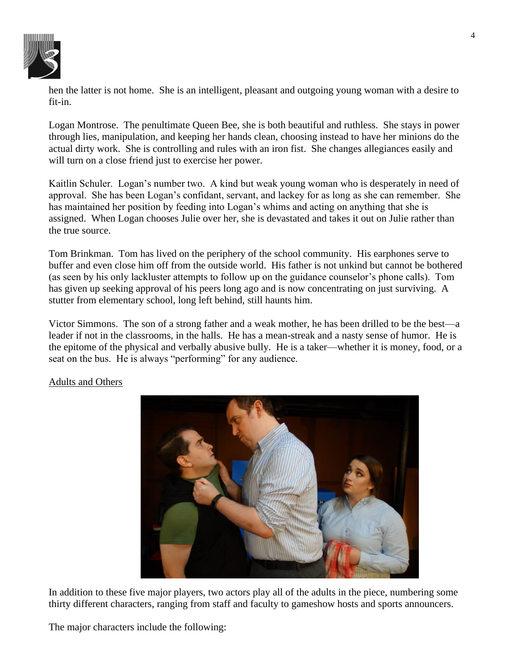

hen the latter is not home. She is an intelligent, pleasant and outgoing young woman with a desire to fit-in.

Logan Montrose. The penultimate Queen Bee, she is both beautiful and ruthless. She stays in power through lies, manipulation, and keeping her hands clean, choosing instead to have her minions do the actual dirty work. She is controlling and rules with an iron fist. She changes allegiances easily and will turn on a close friend just to exercise her power.

Kaitlin Schuler. Logan's number two. A kind but weak young woman who is desperately in need of approval. She has been Logan's confidant, servant, and lackey for as long as she can remember. She has maintained her position by feeding into Logan's whims and acting on anything that she is assigned. When Logan chooses Julie over her, she is devastated and takes it out on Julie rather than the true source.

Tom Brinkman. Tom has lived on the periphery of the school community. His earphones serve to buffer and even close him off from the outside world. His father is not unkind but cannot be bothered (as seen by his only lackluster attempts to follow up on the guidance counselor's phone calls). Tom has given up seeking approval of his peers long ago and is now concentrating on just surviving. A stutter from elementary school, long left behind, still haunts him.

Victor Simmons. The son of a strong father and a weak mother, he has been drilled to be the best—a leader if not in the classrooms, in the halls. He has a mean-streak and a nasty sense of humor. He is the epitome of the physical and verbally abusive bully. He is a taker—whether it is money, food, or a seat on the bus. He is always "performing" for any audience.



# Adults and Others

In addition to these five major players, two actors play all of the adults in the piece, numbering some thirty different characters, ranging from staff and faculty to gameshow hosts and sports announcers.

The major characters include the following: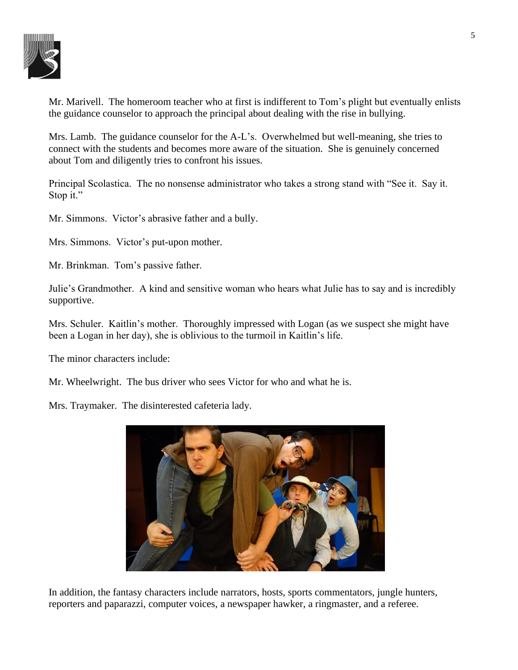

Mr. Marivell. The homeroom teacher who at first is indifferent to Tom's plight but eventually enlists the guidance counselor to approach the principal about dealing with the rise in bullying.

Mrs. Lamb. The guidance counselor for the A-L's. Overwhelmed but well-meaning, she tries to connect with the students and becomes more aware of the situation. She is genuinely concerned about Tom and diligently tries to confront his issues.

Principal Scolastica. The no nonsense administrator who takes a strong stand with "See it. Say it. Stop it."

Mr. Simmons. Victor's abrasive father and a bully.

Mrs. Simmons. Victor's put-upon mother.

Mr. Brinkman. Tom's passive father.

Julie's Grandmother. A kind and sensitive woman who hears what Julie has to say and is incredibly supportive.

Mrs. Schuler. Kaitlin's mother. Thoroughly impressed with Logan (as we suspect she might have been a Logan in her day), she is oblivious to the turmoil in Kaitlin's life.

The minor characters include:

Mr. Wheelwright. The bus driver who sees Victor for who and what he is.

Mrs. Traymaker. The disinterested cafeteria lady.



In addition, the fantasy characters include narrators, hosts, sports commentators, jungle hunters, reporters and paparazzi, computer voices, a newspaper hawker, a ringmaster, and a referee.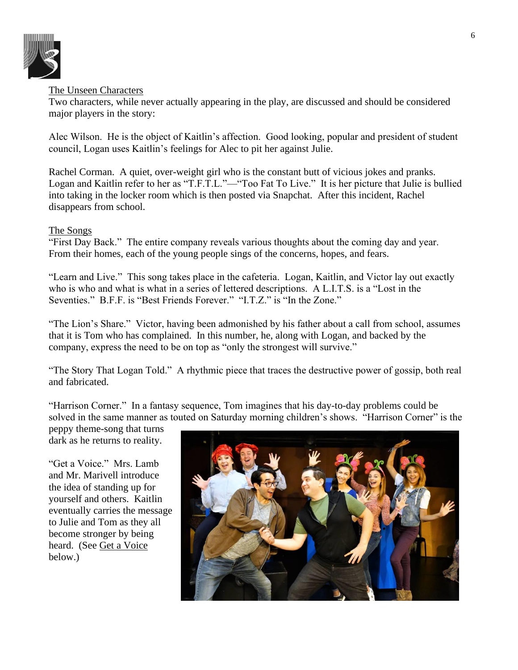

# The Unseen Characters

Two characters, while never actually appearing in the play, are discussed and should be considered major players in the story:

Alec Wilson. He is the object of Kaitlin's affection. Good looking, popular and president of student council, Logan uses Kaitlin's feelings for Alec to pit her against Julie.

Rachel Corman. A quiet, over-weight girl who is the constant butt of vicious jokes and pranks. Logan and Kaitlin refer to her as "T.F.T.L."—"Too Fat To Live." It is her picture that Julie is bullied into taking in the locker room which is then posted via Snapchat. After this incident, Rachel disappears from school.

# The Songs

"First Day Back." The entire company reveals various thoughts about the coming day and year. From their homes, each of the young people sings of the concerns, hopes, and fears.

"Learn and Live." This song takes place in the cafeteria. Logan, Kaitlin, and Victor lay out exactly who is who and what is what in a series of lettered descriptions. A L.I.T.S. is a "Lost in the Seventies." B.F.F. is "Best Friends Forever." "I.T.Z." is "In the Zone."

"The Lion's Share." Victor, having been admonished by his father about a call from school, assumes that it is Tom who has complained. In this number, he, along with Logan, and backed by the company, express the need to be on top as "only the strongest will survive."

"The Story That Logan Told." A rhythmic piece that traces the destructive power of gossip, both real and fabricated.

"Harrison Corner." In a fantasy sequence, Tom imagines that his day-to-day problems could be solved in the same manner as touted on Saturday morning children's shows. "Harrison Corner" is the

peppy theme-song that turns dark as he returns to reality.

"Get a Voice." Mrs. Lamb and Mr. Marivell introduce the idea of standing up for yourself and others. Kaitlin eventually carries the message to Julie and Tom as they all become stronger by being heard. (See Get a Voice below.)

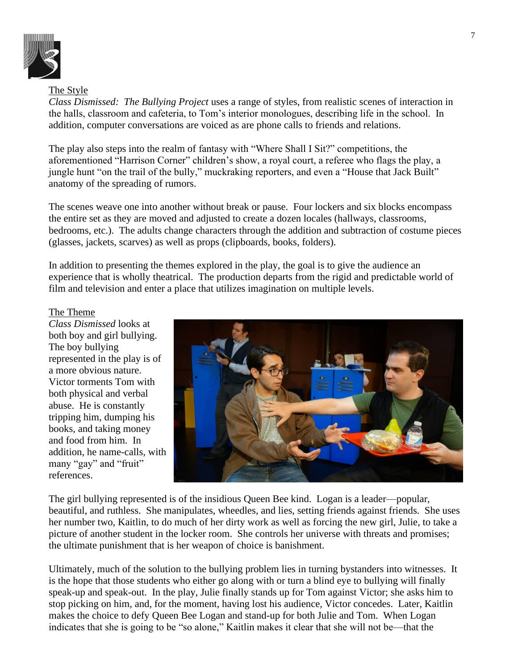

# The Style

*Class Dismissed: The Bullying Project* uses a range of styles, from realistic scenes of interaction in the halls, classroom and cafeteria, to Tom's interior monologues, describing life in the school. In addition, computer conversations are voiced as are phone calls to friends and relations.

The play also steps into the realm of fantasy with "Where Shall I Sit?" competitions, the aforementioned "Harrison Corner" children's show, a royal court, a referee who flags the play, a jungle hunt "on the trail of the bully," muckraking reporters, and even a "House that Jack Built" anatomy of the spreading of rumors.

The scenes weave one into another without break or pause. Four lockers and six blocks encompass the entire set as they are moved and adjusted to create a dozen locales (hallways, classrooms, bedrooms, etc.). The adults change characters through the addition and subtraction of costume pieces (glasses, jackets, scarves) as well as props (clipboards, books, folders).

In addition to presenting the themes explored in the play, the goal is to give the audience an experience that is wholly theatrical. The production departs from the rigid and predictable world of film and television and enter a place that utilizes imagination on multiple levels.

# The Theme

*Class Dismissed* looks at both boy and girl bullying. The boy bullying represented in the play is of a more obvious nature. Victor torments Tom with both physical and verbal abuse. He is constantly tripping him, dumping his books, and taking money and food from him. In addition, he name-calls, with many "gay" and "fruit" references.



The girl bullying represented is of the insidious Queen Bee kind. Logan is a leader—popular, beautiful, and ruthless. She manipulates, wheedles, and lies, setting friends against friends. She uses her number two, Kaitlin, to do much of her dirty work as well as forcing the new girl, Julie, to take a picture of another student in the locker room. She controls her universe with threats and promises; the ultimate punishment that is her weapon of choice is banishment.

Ultimately, much of the solution to the bullying problem lies in turning bystanders into witnesses. It is the hope that those students who either go along with or turn a blind eye to bullying will finally speak-up and speak-out. In the play, Julie finally stands up for Tom against Victor; she asks him to stop picking on him, and, for the moment, having lost his audience, Victor concedes. Later, Kaitlin makes the choice to defy Queen Bee Logan and stand-up for both Julie and Tom. When Logan indicates that she is going to be "so alone," Kaitlin makes it clear that she will not be—that the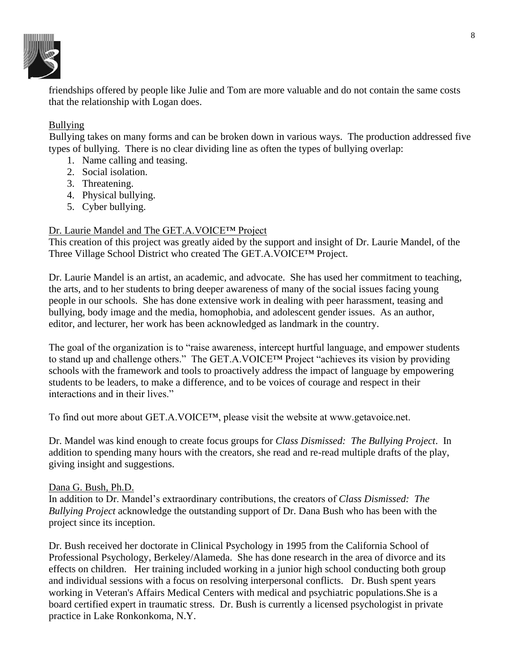

friendships offered by people like Julie and Tom are more valuable and do not contain the same costs that the relationship with Logan does.

# Bullying

Bullying takes on many forms and can be broken down in various ways. The production addressed five types of bullying. There is no clear dividing line as often the types of bullying overlap:

- 1. Name calling and teasing.
- 2. Social isolation.
- 3. Threatening.
- 4. Physical bullying.
- 5. Cyber bullying.

# Dr. Laurie Mandel and The GET.A. VOICE™ Project

This creation of this project was greatly aided by the support and insight of Dr. Laurie Mandel, of the Three Village School District who created The GET.A.VOICE™ Project.

Dr. Laurie Mandel is an artist, an academic, and advocate. She has used her commitment to teaching, the arts, and to her students to bring deeper awareness of many of the social issues facing young people in our schools. She has done extensive work in dealing with peer harassment, teasing and bullying, body image and the media, homophobia, and adolescent gender issues. As an author, editor, and lecturer, her work has been acknowledged as landmark in the country.

The goal of the organization is to "raise awareness, intercept hurtful language, and empower students to stand up and challenge others." The GET.A.VOICE™ Project "achieves its vision by providing schools with the framework and tools to proactively address the impact of language by empowering students to be leaders, to make a difference, and to be voices of courage and respect in their interactions and in their lives."

To find out more about GET.A.VOICE™, please visit the website at www.getavoice.net.

Dr. Mandel was kind enough to create focus groups for *Class Dismissed: The Bullying Project*. In addition to spending many hours with the creators, she read and re-read multiple drafts of the play, giving insight and suggestions.

#### Dana G. Bush, Ph.D.

In addition to Dr. Mandel's extraordinary contributions, the creators of *Class Dismissed: The Bullying Project* acknowledge the outstanding support of Dr. Dana Bush who has been with the project since its inception.

Dr. Bush received her doctorate in Clinical Psychology in 1995 from the California School of Professional Psychology, Berkeley/Alameda. She has done research in the area of divorce and its effects on children. Her training included working in a junior high school conducting both group and individual sessions with a focus on resolving interpersonal conflicts. Dr. Bush spent years working in Veteran's Affairs Medical Centers with medical and psychiatric populations.She is a board certified expert in traumatic stress. Dr. Bush is currently a licensed psychologist in private practice in Lake Ronkonkoma, N.Y.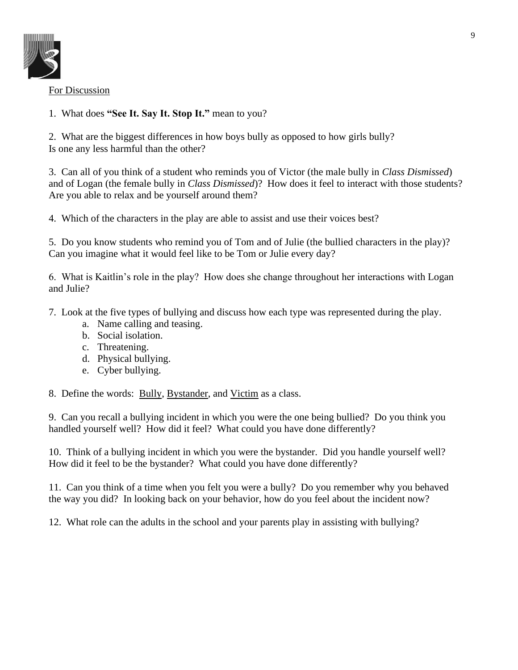

For Discussion

1. What does **"See It. Say It. Stop It."** mean to you?

2. What are the biggest differences in how boys bully as opposed to how girls bully? Is one any less harmful than the other?

3. Can all of you think of a student who reminds you of Victor (the male bully in *Class Dismissed*) and of Logan (the female bully in *Class Dismissed*)? How does it feel to interact with those students? Are you able to relax and be yourself around them?

4. Which of the characters in the play are able to assist and use their voices best?

5. Do you know students who remind you of Tom and of Julie (the bullied characters in the play)? Can you imagine what it would feel like to be Tom or Julie every day?

6. What is Kaitlin's role in the play? How does she change throughout her interactions with Logan and Julie?

- 7. Look at the five types of bullying and discuss how each type was represented during the play.
	- a. Name calling and teasing.
	- b. Social isolation.
	- c. Threatening.
	- d. Physical bullying.
	- e. Cyber bullying.

8. Define the words: Bully, Bystander, and Victim as a class.

9. Can you recall a bullying incident in which you were the one being bullied? Do you think you handled yourself well? How did it feel? What could you have done differently?

10. Think of a bullying incident in which you were the bystander. Did you handle yourself well? How did it feel to be the bystander? What could you have done differently?

11. Can you think of a time when you felt you were a bully? Do you remember why you behaved the way you did? In looking back on your behavior, how do you feel about the incident now?

12. What role can the adults in the school and your parents play in assisting with bullying?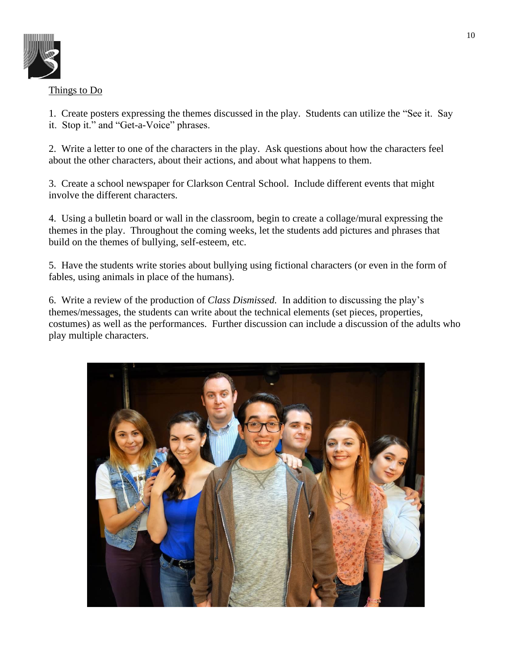

# Things to Do

1. Create posters expressing the themes discussed in the play. Students can utilize the "See it. Say it. Stop it." and "Get-a-Voice" phrases.

2. Write a letter to one of the characters in the play. Ask questions about how the characters feel about the other characters, about their actions, and about what happens to them.

3. Create a school newspaper for Clarkson Central School. Include different events that might involve the different characters.

4. Using a bulletin board or wall in the classroom, begin to create a collage/mural expressing the themes in the play. Throughout the coming weeks, let the students add pictures and phrases that build on the themes of bullying, self-esteem, etc.

5. Have the students write stories about bullying using fictional characters (or even in the form of fables, using animals in place of the humans).

6. Write a review of the production of *Class Dismissed.* In addition to discussing the play's themes/messages, the students can write about the technical elements (set pieces, properties, costumes) as well as the performances. Further discussion can include a discussion of the adults who play multiple characters.